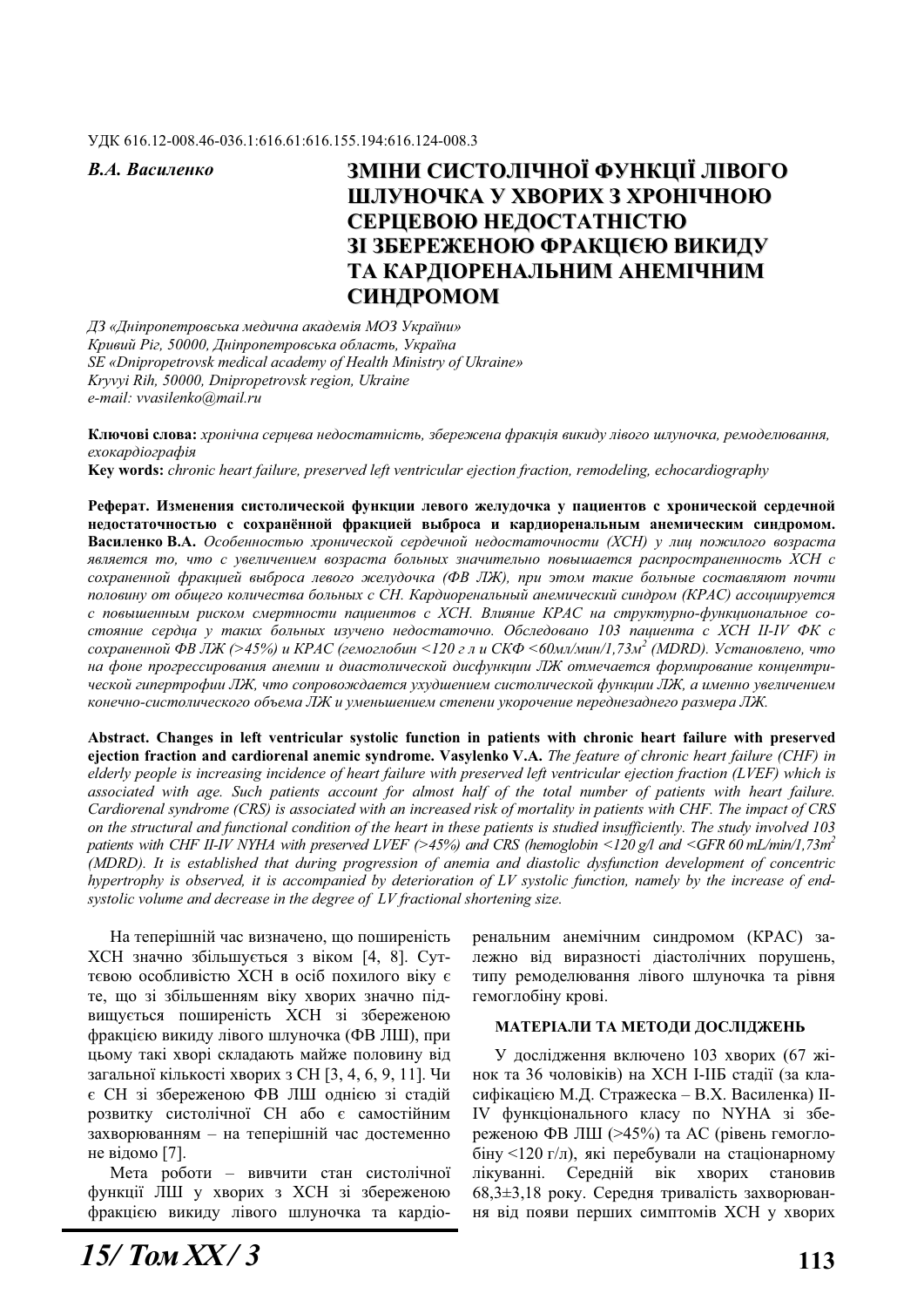#### ɍȾɄ 616.12-008.46-036.1:616.61:616.155.194:616.124-008.3

# В.А. Василенко **ВМІНИ СИСТОЛІЧНОЇ ФУНКЦІЇ ЛІВОГО ШЛУНОЧКА У ХВОРИХ З ХРОНІЧНОЮ** СЕРЦЕВОЮ НЕДОСТАТНІСТЮ **ЗІ ЗБЕРЕЖЕНОЮ ФРАКЦІЄЮ ВИКИДУ** ТА КАРДІОРЕНАЛЬНИМ АНЕМІЧНИМ СИНДРОМОМ

 $\overline{A}$ З «Дніпропетровська медична академія МОЗ України» Кривий Ріг. 50000, Дніпропетровська область, Україна *SE «Dnipropetrovsk medical academy of Health Ministry of Ukraine» Kryvyi Rih, 50000, Dnipropetrovsk region, Ukraine e-mail: vvasilenko@mail.ru*

Ключові слова: *хронічна серцева недостатність, збережена фракція викиду лівого шлуночка, ремоделювання,*  $exoxa$ *ndioznadia* **Key words:** *chronic heart failure, preserved left ventricular ejection fraction, remodeling, echocardiography* 

Реферат. Изменения систолической функции левого желудочка у пациентов с хронической сердечной недостаточностью с сохранённой фракцией выброса и кардиоренальным анемическим синдромом. Василенко В.А. Особенностью хронической сердечной недостаточности (XCH) у лиц пожилого возраста является то, что с увеличением возраста больных значительно повышается распространенность XCH с  $coxpahehной фракцией выброса левого желудочка (ФВ ЛЖ), при этом также болыные составляют почти$ половину от общего количества больных с СН. Кардиоренальный анемический синдром (КРАС) ассоциируется  $c$  повышенным риском смертности пациентов с ХСН. Влияние КРАС на структурно-функциональное со $c$ *кваяние сердца у таких больных изучено недостаточно. Обследовано 103 пациента с XCH II-IV ФК с* сохраненной ФВ ЛЖ (>45%) и КРАС (гемоглобин <120 г л и СКФ <60мл/мин/1,73м $^2$  (MDRD). Установлено, что на фоне прогрессирования анемии и диастолической дисфункции ЛЖ отмечается формирование концентрической гипертрофии ЛЖ, что сопровождается ухудшением систолической функции ЛЖ, а именно увеличением конечно-систолического объема ЛЖ и уменьшением степени укорочение переднезаднего размера ЛЖ.

**Abstract. Changes in left ventricular systolic function in patients with chronic heart failure with preserved ejection fraction and cardiorenal anemic syndrome. Vasylenko V.A.** *The feature of chronic heart failure (CHF) in elderly people is increasing incidence of heart failure with preserved left ventricular ejection fraction (LVEF) which is associated with age. Such patients account for almost half of the total number of patients with heart failure. Cardiorenal syndrome (CRS) is associated with an increased risk of mortality in patients with CHF. The impact of CRS on the structural and functional condition of the heart in these patients is studied insufficiently. The study involved 103 patients with CHF II-IV NYHA with preserved LVEF (>45%) and CRS (hemoglobin <120 g/l and <GFR 60 mL/min/1,73m2 (MDRD). It is established that during progression of anemia and diastolic dysfunction development of concentric hypertrophy is observed, it is accompanied by deterioration of LV systolic function, namely by the increase of endsystolic volume and decrease in the degree of LV fractional shortening size.* 

На теперішній час визначено, що поширеність ХСН значно збільшується з віком [4, 8]. Суттєвою особливістю ХСН в осіб похилого віку є те, що зі збільшенням віку хворих значно підвищується поширеність ХСН зі збереженою фракцією викиду лівого шлуночка (ФВ ЛШ), при цьому такі хворі складають майже половину від загальної кількості хворих з СН [3, 4, 6, 9, 11]. Чи є СН зі збереженою ФВ ЛШ однією зі стадій розвитку систолічної СН або є самостійним захворюванням – на теперішній час достеменно не відомо [7].

Мета роботи – вивчити стан систолічної функції ЛШ у хворих з ХСН зі збереженою фракцією викиду лівого шлуночка та кардіоренальним анемічним синдромом (КРАС) залежно від виразності діастолічних порушень, типу ремоделювання лівого шлуночка та рівня гемоглобіну крові.

#### МАТЕРІАЛИ ТА МЕТОДИ ДОСЛІДЖЕНЬ

У дослідження включено 103 хворих (67 жінок та 36 чоловіків) на ХСН І-ІІБ стадії (за класифікацією М.Д. Стражеска – В.Х. Василенка) II-IV функціонального класу по NYHA зі збереженою ФВ ЛШ (>45%) та АС (рівень гемогло- $6$ іну <120 г/л), які перебували на стаціонарному лікуванні. Середній вік хворих становив 68,3 $\pm$ 3,18 року. Середня тривалість захворювання від появи перших симптомів ХСН у хворих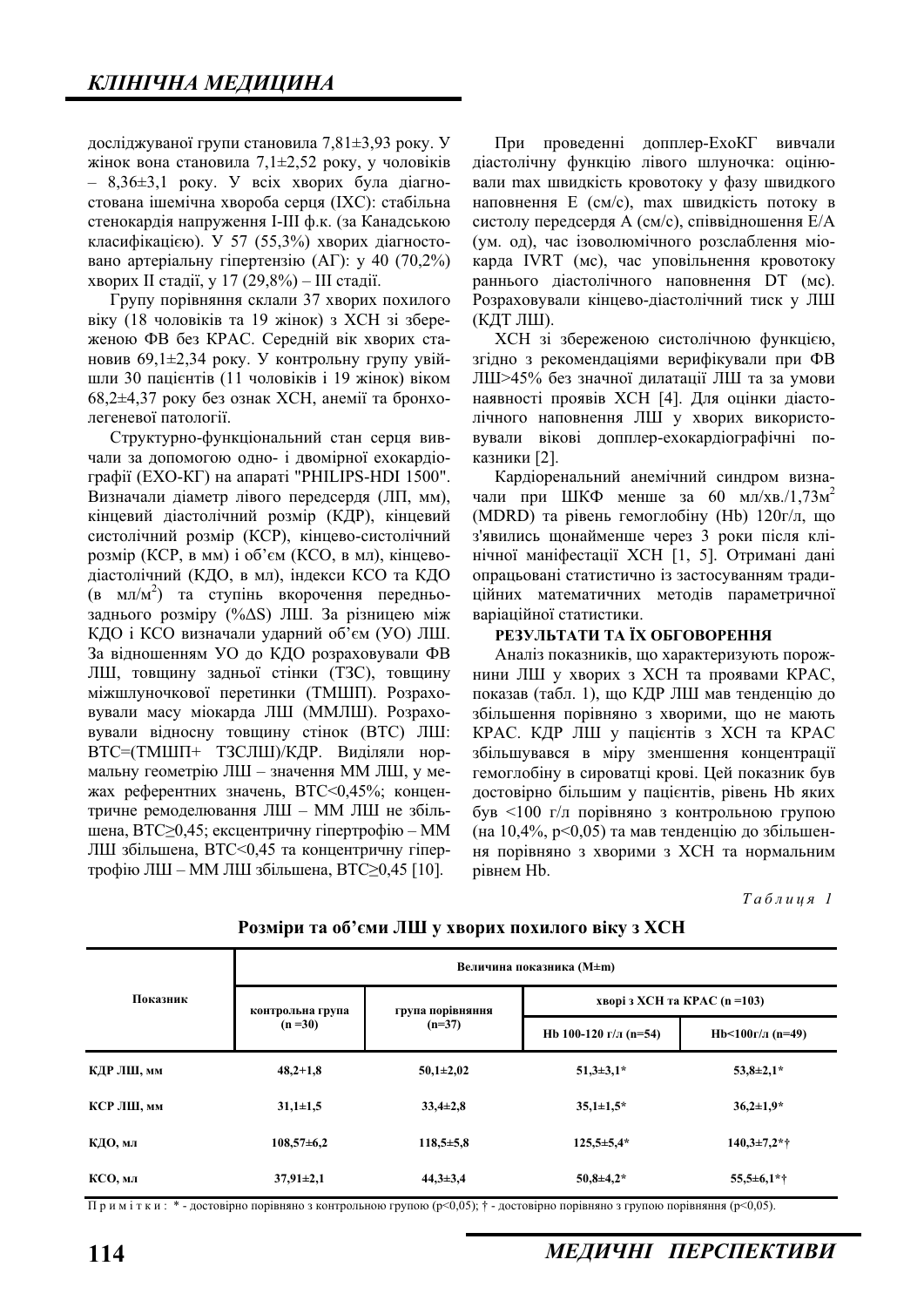досліджуваної групи становила 7,81 $\pm$ 3,93 року. У жінок вона становила 7,1 $\pm$ 2,52 року, у чоловіків  $-$  8,36 $\pm$ 3,1 року. У всіх хворих була діагностована ішемічна хвороба серця (IXC): стабільна стенокардія напруження І-Ш ф.к. (за Канадською класифікацією). У 57 (55,3%) хворих діагностовано артеріальну гіпертензію  $(AT)$ : у 40  $(70,2\%)$ хворих II стадії, у 17 (29,8%) – III стадії.

Групу порівняння склали 37 хворих похилого віку (18 чоловіків та 19 жінок) з ХСН зі збереженою ФВ без КРАС. Середній вік хворих становив 69,1 $\pm$ 2,34 року. У контрольну групу увійшли 30 пацієнтів (11 чоловіків і 19 жінок) віком  $68,2\pm4,37$  року без ознак ХСН, анемії та бронхолегеневої патології.

Структурно-функціональний стан серця вивчали за допомогою одно- і двомірної ехокардіографії (EXO-KГ) на апараті "PHILIPS-HDI 1500". Визначали діаметр лівого передсердя (ЛП, мм), кінцевий діастолічний розмір (КДР), кінцевий систолічний розмір (КСР), кінцево-систолічний  $posmin(KCP, BMM)$  і об'єм (КСО, в мл), кінцеводіастолічний (КДО, в мл), індекси КСО та КДО (в мл/м<sup>2</sup>) та ступінь вкорочення передньозаднього розміру (% $\Delta S$ ) ЛШ. За різницею між КДО і КСО визначали ударний об'єм (УО) ЛШ. За відношенням УО до КДО розраховували ФВ ЛШ, товщину задньої стінки (ТЗС), товщину міжшлуночкової перетинки (ТМШП). Розраховували масу міокарда ЛШ (ММЛШ). Розраховували відносну товщину стінок (ВТС) ЛШ: ВТС=(ТМШП+ ТЗСЛШ)/КДР. Виділяли нормальну геометрію ЛШ – значення ММ ЛШ, у межах референтних значень, ВТС<0,45%; концентричне ремоделювання ЛШ - ММ ЛШ не збільшена, ВТС $\geq$ 0,45; ексцентричну гіпертрофію – ММ ЛШ збільшена, ВТС<0,45 та концентричну гіпертрофію ЛШ – ММ ЛШ збільшена, ВТС≥0,45 [10].

При проведенні допплер-ЕхоКГ вивчали діастолічну функцію лівого шлуночка: оцінювали max швидкість кровотоку у фазу швидкого наповнення Е (см/с), max швидкість потоку в систолу передсердя A (см/с), співвідношення E/A (ум. од), час ізоволюмічного розслаблення міокарда IVRT (мс), час уповільнення кровотоку раннього діастолічного наповнення DT (мс). Розраховували кінцево-діастолічний тиск у ЛШ (КДТ ЛШ).

ХСН зі збереженою систолічною функцією. згідно з рекомендаціями верифікували при ФВ ЛШ>45% без значної дилатації ЛШ та за умови наявності проявів ХСН [4]. Для оцінки діастолічного наповнення ЛШ у хворих використовували вікові допплер-ехокардіографічні показники [2].

Кардіоренальний анемічний синдром визначали при ШКФ менше за 60 мл/хв./1,73 $\mu^2$ (MDRD) та рівень гемоглобіну (Hb) 120г/л, що з'явились щонайменше через 3 роки після клінічної маніфестації XCH [1, 5]. Отримані дані опрацьовані статистично із застосуванням традиційних математичних методів параметричної варіаційної статистики.

## РЕЗУЛЬТАТИ ТА ЇХ ОБГОВОРЕННЯ

Аналіз показників, що характеризують порож-НИНИ ЛШ У ХВОРИХ З ХСН ТА ПРОЯВАМИ КРАС. показав (табл. 1), що КДР ЛШ мав тенденцію до збільшення порівняно з хворими, що не мають КРАС. КДР ЛШ у пацієнтів з ХСН та КРАС збільшувався в міру зменшення концентрації гемоглобіну в сироватці крові. Цей показник був лостовірно більшим у пацієнтів, рівень Нb яких  $6y$ в <100 г/л порівняно з контрольною групою (на 10,4%,  $p<0.05$ ) та мав тенденцію до збільшення порівняно з хворими з XCH та нормальним piвнем Hb.

 $Ta6\n$ <sub>µ</sub>\n<sub>µ</sub>\n<sub>q</sub>\n<sub>q</sub>\n<sub>l</sub></sub>

| Показник   | Величина показника (M±m)     |                              |                               |                    |  |
|------------|------------------------------|------------------------------|-------------------------------|--------------------|--|
|            | контрольна група<br>$(n=30)$ | група порівняння<br>$(n=37)$ | хворі з ХСН та КРАС (n = 103) |                    |  |
|            |                              |                              | Hb 100-120 г/л (n=54)         | Hb<100г/л (n=49)   |  |
| КДР ЛШ, мм | $48,2+1,8$                   | $50,1 \pm 2,02$              | $51,3\pm3,1*$                 | $53,8 \pm 2,1*$    |  |
| КСР ЛШ, мм | $31,1 \pm 1,5$               | $33,4\pm 2,8$                | $35,1 \pm 1.5^*$              | $36,2{\pm}1,9*$    |  |
| КДО, мл    | $108,57\pm 6,2$              | $118,5+5,8$                  | $125,5 \pm 5,4*$              | $140.3 \pm 7.2$ *† |  |
| КСО, мл    | $37,91 \pm 2,1$              | $44.3 \pm 3.4$               | $50,8{\pm}4,2*$               | $55,5+6,1*$        |  |

Розміри та об'єми ЛШ у хворих похилого віку з ХСН

Примітки: \* - достовірно порівняно з контрольною групою (p<0,05); † - достовірно порівняно з групою порівняння (p<0,05).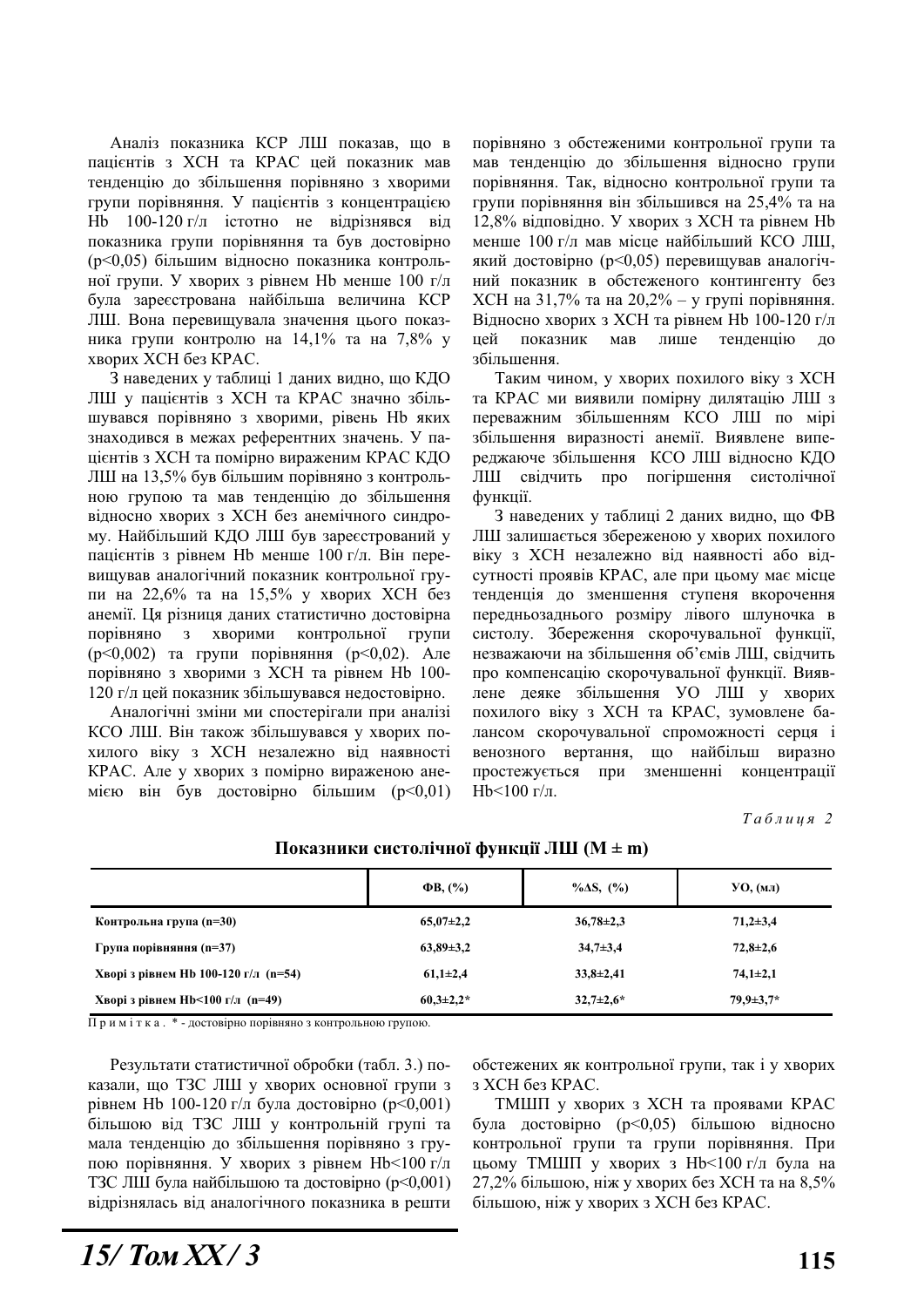Аналіз показника КСР ЛШ показав, що в пацієнтів з ХСН та КРАС цей показник мав тенленцію до збільшення порівняно з хворими групи порівняння. У пацієнтів з концентрацією Hb  $100-120$  г/л істотно не відрізнявся від показника групи порівняння та був достовірно (p<0,05) більшим відносно показника контрольної групи. У хворих з рівнем Нь менше 100 г/л була зареєстрована найбільша величина КСР ЛШ. Вона перевищувала значення цього показника групи контролю на 14,1% та на 7,8% у хворих ХСН без КРАС.

З наведених у таблиці 1 даних видно, що КДО ЛШ у пацієнтів з ХСН та КРАС значно збільшувався порівняно з хворими, рівень Нь яких знаходився в межах референтних значень. У пацієнтів з ХСН та помірно вираженим КРАС КДО ЛШ на 13,5% був більшим порівняно з контрольною групою та мав тенденцію до збільшення відносно хворих з ХСН без анемічного синдрому. Найбільший КДО ЛШ був зареєстрований у пацієнтів з рівнем Нb менше 100 г/л. Він перевищував аналогічний показник контрольної групи на 22,6% та на 15,5% у хворих ХСН без анемії. Ця різниця даних статистично достовірна порівняно з хворими контрольної групи ( $p<0,002$ ) та групи порівняння ( $p<0,02$ ). Але порівняно з хворими з ХСН та рівнем Hb 100-120 г/л цей показник збільшувався недостовірно.

Аналогічні зміни ми спостерігали при аналізі КСО ЛШ. Він також збільшувався у хворих похилого віку з ХСН незалежно від наявності КРАС. Але у хворих з помірно вираженою анемією він був достовірно більшим ( $p<0,01$ )

порівняно з обстеженими контрольної групи та мав тенденцію до збільшення відносно групи порівняння. Так, вілносно контрольної групи та групи порівняння він збільшився на 25,4% та на  $12,8\%$  відповідно. У хворих з ХСН та рівнем Нь менше 100 г/л мав місце найбільший КСО ЛШ, який достовірно ( $p<0.05$ ) перевищував аналогічний показник в обстеженого контингенту без XCH на 31,7% та на 20,2% – у групі порівняння. Відносно хворих з ХСН та рівнем Hb 100-120 г/л ней показник мав лише тенлению до збільшення.

Таким чином, у хворих похилого віку з ХСН та КРАС ми виявили помірну дилятацію ЛШ з переважним збільшенням КСО ЛШ по мірі збільшення виразності анемії. Виявлене випереджаюче збільшення КСО ЛШ відносно КДО ЛШ свідчить про погіршення систолічної функції.

3 наведених у таблиці 2 даних видно, що ФВ ЛШ залишається збереженою у хворих похилого віку з ХСН незалежно від наявності або відсутності проявів КРАС, але при цьому має місце тенденція до зменшення ступеня вкорочення передньозаднього розміру лівого шлуночка в систолу. Збереження скорочувальної функції, незважаючи на збільшення об'ємів ЛШ, свідчить про компенсацію скорочувальної функції. Виявлене деяке збільшення УО ЛШ у хворих похилого віку з ХСН та КРАС, зумовлене балансом скорочувальної спроможності серця і венозного вертання, що найбільш виразно простежується при зменшенні концентрації  $Hb < 100$  г/л.

 $Ta6\n$ 

|                                      | $\Phi$ B, $(\%)$ | $\% \Delta S$ , $(\%)$ | YO, (MJ)         |
|--------------------------------------|------------------|------------------------|------------------|
| Контрольна група (n=30)              | $65,07\pm2,2$    | $36,78\pm2,3$          | $71,2 \pm 3,4$   |
| Група порівняння (n=37)              | $63,89\pm3,2$    | $34,7+3,4$             | $72,8 \pm 2,6$   |
| Хворі з рівнем Hb 100-120 г/л (n=54) | $61,1\pm2,4$     | $33,8 \pm 2,41$        | $74,1 \pm 2,1$   |
| Хворі з рівнем Hb<100 г/л (n=49)     | $60,3\pm2,2*$    | $32,7+2,6*$            | $79.9 \pm 3.7^*$ |

Показники систолічної функції ЛШ (M ± m)

Примітка. \* - достовірно порівняно з контрольною групою.

Результати статистичної обробки (табл. 3.) показали, що ТЗС ЛШ у хворих основної групи з рівнем Hb 100-120 г/л була достовірно ( $p<0,001$ ) більшою від ТЗС ЛШ у контрольній групі та мала тенденцію до збільшення порівняно з групою порівняння. У хворих з рівнем Нь<100 г/л ТЗС ЛШ була найбільшою та достовірно (p<0,001) відрізнялась від аналогічного показника в решти обстежених як контрольної групи, так і у хворих 3 XCH без КРАС.

ТМШП у хворих з ХСН та проявами КРАС була достовірно (p<0,05) більшою відносно контрольної групи та групи порівняння. При цьому ТМШП у хворих з Hb<100 г/л була на 27,2% більшою, ніж у хворих без XCH та на 8,5% більшою, ніж у хворих з ХСН без КРАС.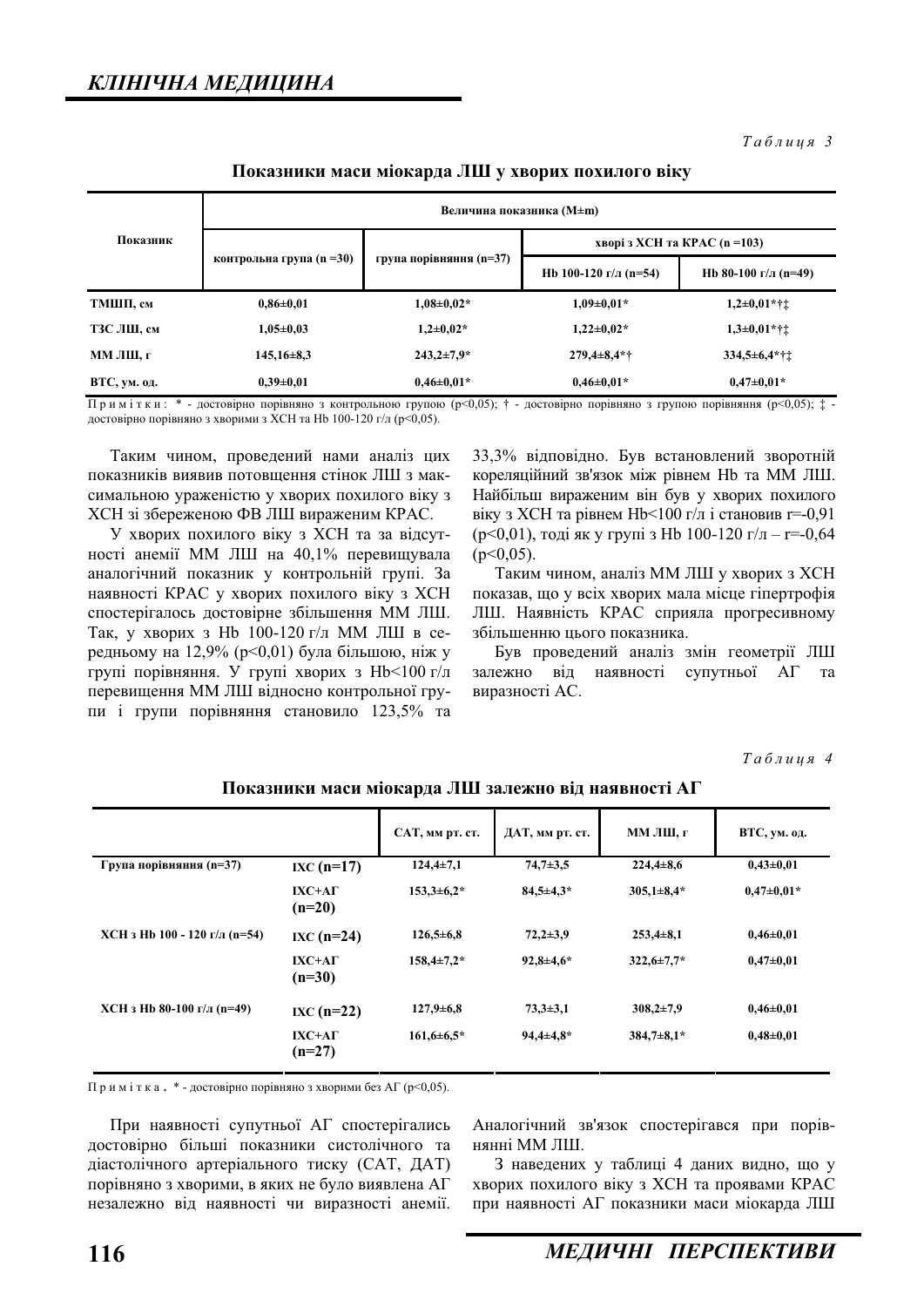$Ta6$ лиця 3

## Показники маси міокарда ЛШ у хворих похилого віку

| Показник     | Величина показника (M±m) |                         |                               |                       |  |
|--------------|--------------------------|-------------------------|-------------------------------|-----------------------|--|
|              | контрольна група (n =30) | група порівняння (n=37) | хворі з ХСН та КРАС (n = 103) |                       |  |
|              |                          |                         | Hb 100-120 г/л (n=54)         | Hb 80-100 г/л (n=49)  |  |
| ТМШП, см     | $0.86 \pm 0.01$          | $1,08\pm0,02*$          | $1.09 \pm 0.01*$              | $1,2\pm0,01$ *† $\pm$ |  |
| ТЗС ЛШ, см   | $1,05\pm0.03$            | $1,2{\pm}0,02*$         | $1,22\pm0,02*$                | $1,3\pm0.01$ *† $\pm$ |  |
| ММ ЛШ, г     | $145,16\pm8,3$           | $243,2 \pm 7,9$ *       | $279,4\pm8,4$ *†              | $334,5\pm 6,4$ *††    |  |
| ВТС, ум. од. | $0.39 + 0.01$            | $0.46 \pm 0.01*$        | $0.46 \pm 0.01*$              | $0.47 \pm 0.01*$      |  |

 $\Pi$ римітки: \* - достовірно порівняно з контрольною групою (р<0,05); † - достовірно порівняно з групою порівняння (р<0,05); ‡ - $\frac{1}{20}$  тостовірно порівняно з хворими з XCH та Hb 100-120 г/л (p<0.05).

Таким чином, проведений нами аналіз цих показників виявив потовщення стінок ЛШ з максимальною ураженістю у хворих похилого віку з ХСН зі збереженою ФВ ЛШ вираженим КРАС.

У хворих похилого віку з ХСН та за відсутності анемії ММ ЛШ на 40,1% перевищувала аналогічний показник у контрольній групі. За наявності КРАС у хворих похилого віку з ХСН спостерігалось достовірне збільшення ММ ЛШ. Так, у хворих з Нb 100-120 г/л ММ ЛШ в середньому на 12,9% ( $p<0,01$ ) була більшою, ніж у групі порівняння. У групі хворих з  $Hb < 100$  г/л перевищення ММ ЛШ відносно контрольної групи і групи порівняння становило 123,5% та

33,3% відповідно. Був встановлений зворотній кореляційний зв'язок між рівнем Hb та MM ЛШ. Найбільш вираженим він був у хворих похилого віку з ХСН та рівнем Нb<100 г/л і становив r=-0,91 ( $p<0,01$ ), тоді як у групі з Hb 100-120 г/л – r=-0,64  $(p<0.05)$ .

Таким чином, аналіз ММ ЛШ у хворих з ХСН показав, що у всіх хворих мала місце гіпертрофія ЛШ. Наявність КРАС сприяла прогресивному збільшенню пього показника.

Був проведений аналіз змін геометрії ЛШ залежно від наявності супутньої АГ та виразності АС.

*Ɍɚɛɥɢɰɹ 4* 

|                               |                           | САТ, мм рт. ст.  | ДАТ, мм рт. ст.  | ММ ЛШ, г         | ВТС, ум. од.     |
|-------------------------------|---------------------------|------------------|------------------|------------------|------------------|
| Група порівняння (n=37)       | $IXC (n=17)$              | $124,4\pm 7,1$   | $74,7+3,5$       | $224,4\pm8,6$    | $0,43\pm0,01$    |
|                               | $IXC+A\Gamma$<br>$(n=20)$ | $153,3+6,2*$     | $84,5+4,3*$      | $305,1\pm8,4*$   | $0.47 \pm 0.01*$ |
| XCH з Hb 100 - 120 г/л (n=54) | $IXC (n=24)$              | $126,5+6,8$      | $72,2+3,9$       | $253,4 \pm 8,1$  | $0,46 \pm 0,01$  |
|                               | $IXC+A\Gamma$<br>$(n=30)$ | $158,4\pm7,2*$   | $92,8+4,6*$      | $322.6 \pm 7.7*$ | $0,47{\pm}0,01$  |
| XCH з Hb 80-100 г/л (n=49)    | $IXC(n=22)$               | $127,9 \pm 6,8$  | $73,3+3,1$       | $308,2{\pm}7,9$  | $0,46 \pm 0,01$  |
|                               | $IXC+A\Gamma$<br>$(n=27)$ | $161,6 \pm 6.5*$ | $94,4 \pm 4,8$ * | $384,7\pm8,1*$   | $0,48 \pm 0,01$  |

Показники маси міокарда ЛШ залежно від наявності АГ

Примітка. \* - достовірно порівняно з хворими без АГ (р<0,05).

При наявності супутньої АГ спостерігались достовірно більші показники систолічного та ліастолічного артеріального тиску (САТ, ДАТ) порівняно з хворими, в яких не було виявлена А $\Gamma$ незалежно від наявності чи виразності анемії. Аналогічний зв'язок спостерігався при порівнянні MM ЛШ.

З наведених у таблиці 4 даних видно, що у хворих похилого віку з ХСН та проявами КРАС при наявності АГ показники маси міокарда ЛШ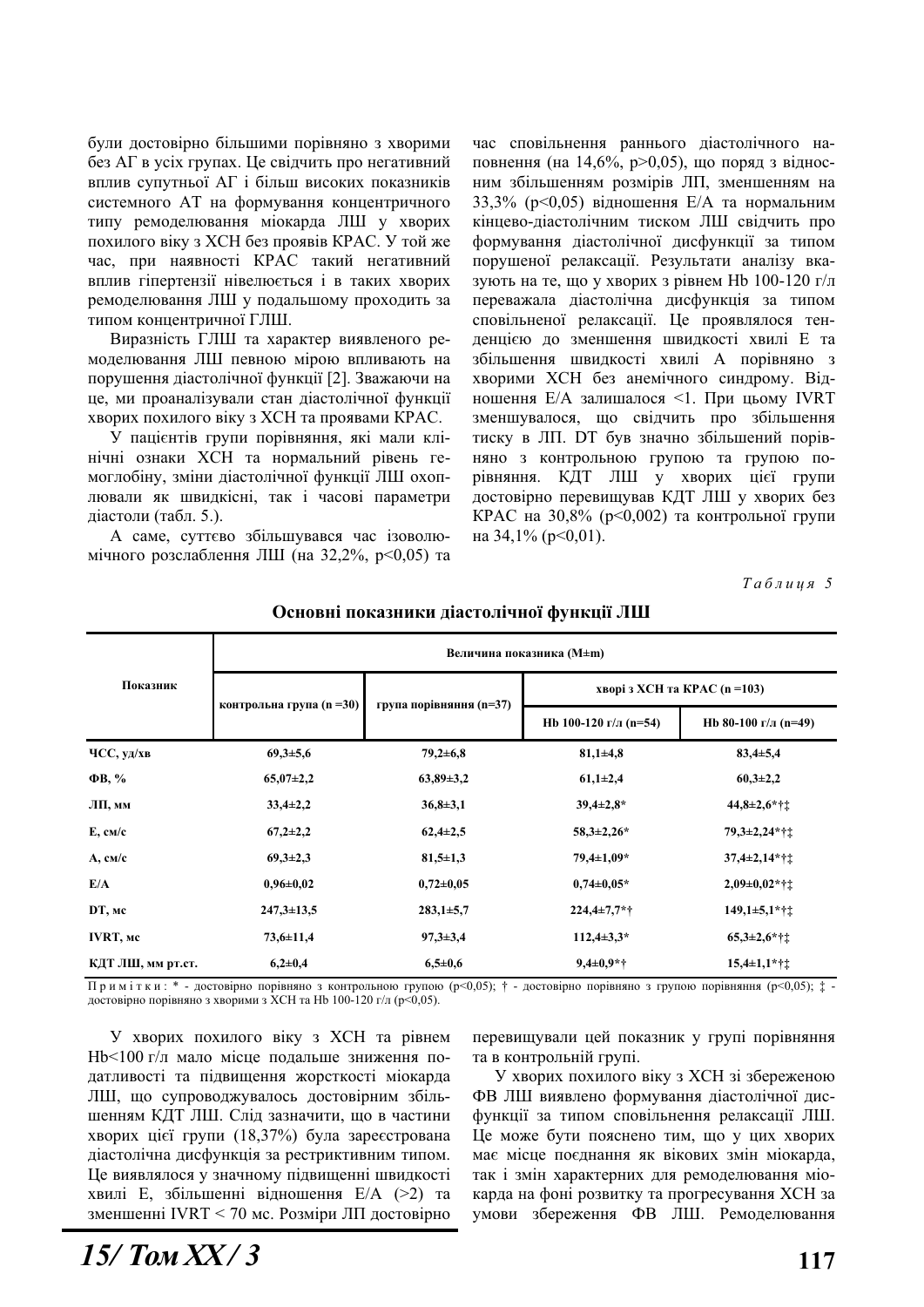були достовірно більшими порівняно з хворими без АГ в усіх групах. Це свідчить про негативний вплив супутньої АГ і більш високих показників системного АТ на формування концентричного типу ремоделювання міокарда ЛШ у хворих похилого віку з ХСН без проявів КРАС. У той же час, при наявності КРАС такий негативний вплив гіпертензії нівелюється і в таких хворих ремоделювання ЛШ у подальшому проходить за типом концентричної ГЛШ.

Виразність ГЛШ та характер виявленого ремоделювання ЛШ певною мірою впливають на порушення діастолічної функції [2]. Зважаючи на це, ми проаналізували стан діастолічної функції хворих похилого віку з ХСН та проявами КРАС.

У пацієнтів групи порівняння, які мали клінічні ознаки ХСН та нормальний рівень гемоглобіну, зміни діастолічної функції ЛШ охоплювали як швидкісні, так і часові параметри діастоли (табл. 5.).

А саме, суттєво збільшувався час ізоволюмічного розслаблення ЛШ (на 32,2%, p<0,05) та

час сповільнення раннього діастолічного наповнення (на 14,6%, p>0,05), що поряд з відносним збільшенням розмірів ЛП, зменшенням на 33,3% (p<0,05) відношення Е/А та нормальним кінцево-діастолічним тиском ЛШ свідчить про формування діастолічної дисфункції за типом порушеної релаксації. Результати аналізу вказують на те, що у хворих з рівнем Нь 100-120 г/л переважала діастолічна дисфункція за типом сповільненої релаксації. Це проявлялося тендениено до зменшення швидкості хвилі Е та збільшення швидкості хвилі А порівняно з хворими ХСН без анемічного синдрому. Відношення E/A залишалося <1. При цьому IVRT зменшувалося, що свідчить про збільшення тиску в ЛП. DT був значно збільшений порівняно з контрольною групою та групою порівняння. КДТ ЛШ у хворих цієї групи достовірно перевищував КДТ ЛШ у хворих без КРАС на 30,8% (р<0,002) та контрольної групи на 34,1% ( $p<0.01$ ).

 $Ta6\n$ <sub>µ</sub>\n<i>u</i>\n<sub>u</sub>\n<sub>z</sub>\n5</sub>

| Показник          | Величина показника (M±m) |                         |                               |                             |  |
|-------------------|--------------------------|-------------------------|-------------------------------|-----------------------------|--|
|                   | контрольна група (n =30) | група порівняння (n=37) | хворі з ХСН та КРАС (n = 103) |                             |  |
|                   |                          |                         | Hb 100-120 г/л (n=54)         | Hb 80-100 г/л (n=49)        |  |
| ЧСС, уд/хв        | $69,3{\pm}5,6$           | $79,2{\pm}6,8$          | $81,1 \pm 4,8$                | $83,4 \pm 5,4$              |  |
| $\Phi$ B, %       | $65,07\pm2,2$            | $63,89 \pm 3,2$         | $61,1\pm2,4$                  | $60,3{\pm}2,2$              |  |
| ЛП, мм            | $33,4\pm2,2$             | $36,8+3,1$              | $39,4\pm2,8$ *                | $44,8\pm2,6$ *††            |  |
| $E$ , $cm/c$      | $67,2{\pm}2,2$           | $62,4\pm 2,5$           | $58,3\pm 2,26*$               | $79,3\pm2,24$ *††           |  |
| $A$ , $CM/c$      | $69,3 \pm 2,3$           | $81,5 \pm 1,3$          | 79,4±1,09*                    | $37,4\pm 2,14$ *††          |  |
| E/A               | $0,96 \pm 0,02$          | $0,72 \pm 0,05$         | $0,74\pm0.05*$                | $2,09\pm0,02$ *† $\ddagger$ |  |
| DT, Mc            | $247,3 \pm 13,5$         | $283,1 \pm 5,7$         | $224,4\pm7,7$ *†              | $149,1\pm5,1$ *† $\ddagger$ |  |
| IVRT, Mc          | $73,6 \pm 11,4$          | $97,3 \pm 3,4$          | $112,4\pm3,3*$                | $65,3\pm2,6$ *††            |  |
| КДТ ЛШ, мм рт.ст. | $6,2{\pm}0,4$            | $6,5+0,6$               | $9,4\pm0.9**$                 | $15,4\pm1,1$ *† $\ddagger$  |  |

## Основні показники діастолічної функції ЛШ

Примітки: \* - достовірно порівняно з контрольною групою (p<0,05); † - достовірно порівняно з групою порівняння (p<0,05); ‡ достовірно порівняно з хворими з ХСН та Hb 100-120 г/л (р<0,05).

У хворих похилого віку з ХСН та рівнем Hb<100 г/л мало місце подальше зниження податливості та підвищення жорсткості міокарда ЛШ, що супроводжувалось достовірним збільшенням КДТ ЛШ. Слід зазначити, що в частини хворих цієї групи (18,37%) була зареєстрована діастолічна дисфункція за рестриктивним типом. Це виявлялося у значному підвищенні швидкості хвилі Е, збільшенні відношення Е/А (>2) та зменшенні IVRT < 70 мс. Розміри ЛП достовірно перевищували цей показник у групі порівняння та в контрольній групі.

У хворих похилого віку з ХСН зі збереженою ФВ ЛШ виявлено формування діастолічної дисфункції за типом сповільнення релаксації ЛШ. Це може бути пояснено тим, що у цих хворих має місце поєднання як вікових змін міокарда, так і змін характерних для ремоделювання міокарда на фоні розвитку та прогресування ХСН за умови збереження ФВ ЛШ. Ремоделювання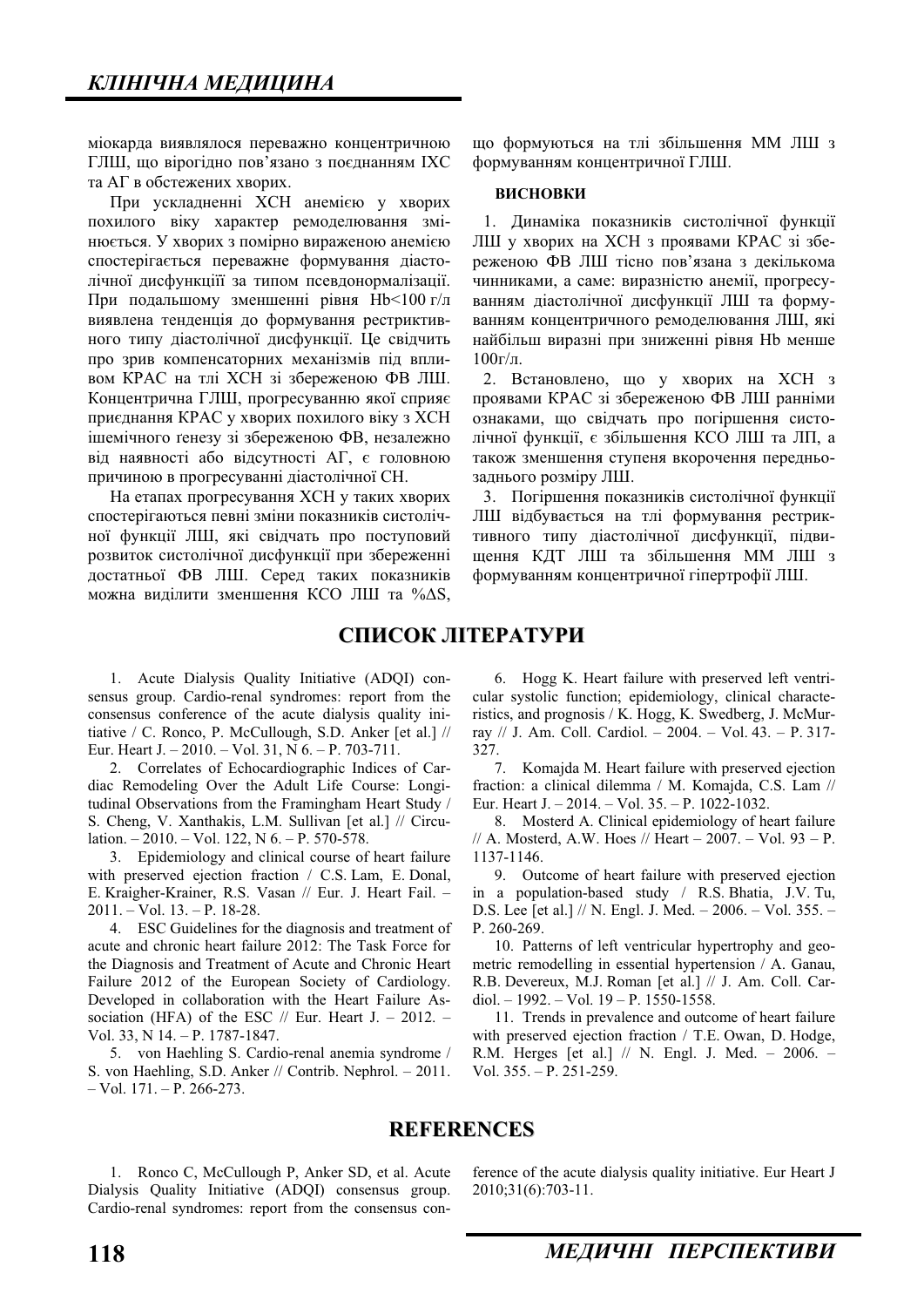міокарда виявлялося переважно концентричною ГЛШ, що вірогідно пов'язано з поєднанням ІХС та АГ в обстежених хворих.

При ускладненні ХСН анемією у хворих похилого віку характер ремоделювання змінюється. У хворих з помірно вираженою анемією спостерігається переважне формування діастолічної дисфункціїї за типом псевдонормалізації. При подальшому зменшенні рівня Нb<100 г/л виявлена тенденція до формування рестриктивного типу діастолічної дисфункції. Це свідчить про зрив компенсаторних механізмів під впливом КРАС на тлі ХСН зі збереженою ФВ ЛШ. Концентрична ГЛШ, прогресуванню якої сприяє приєднання КРАС у хворих похилого віку з ХСН ішемічного генезу зі збереженою ФВ, незалежно від наявності або відсутності А $\Gamma$ , є головною причиною в прогресуванні діастолічної СН.

На етапах прогресування ХСН у таких хворих спостерігаються певні зміни показників систолічної функції ЛШ, які свідчать про поступовий розвиток систолічної дисфункції при збереженні достатньої ФВ ЛШ. Серед таких показників можна виділити зменшення КСО ЛШ та %∆S,

що формуються на тлі збільшення ММ ЛШ з формуванням концентричної ГЛШ.

## **ВИСНОВКИ**

1. Динаміка показників систолічної функції ЛШ у хворих на ХСН з проявами КРАС зі збереженою ФВ ЛШ тісно пов'язана з декількома чинниками, а саме: виразністю анемії, прогресуванням діастолічної дисфункції ЛШ та формуванням концентричного ремоделювання ЛШ, які найбільш виразні при зниженні рівня Hb менше  $100r/\pi$ .

2. Встановлено, що у хворих на ХСН з проявами КРАС зі збереженою ФВ ЛШ ранніми ознаками, що свідчать про погіршення систолічної функції, є збільшення КСО ЛШ та ЛП, а також зменшення ступеня вкорочення передньозаднього розміру ЛШ.

3. Погіршення показників систолічної функції ЛШ відбувається на тлі формування рестриктивного типу ліастолічної лисфункції, пілвищення КДТ ЛШ та збільшення ММ ЛШ з формуванням концентричної гіпертрофії ЛШ.

# СПИСОК ЛІТЕРАТУРИ

1. Acute Dialysis Quality Initiative (ADQI) consensus group. Cardio-renal syndromes: report from the consensus conference of the acute dialysis quality initiative / C. Ronco, P. McCullough, S.D. Anker [et al.] // Eur. Heart J. – 2010. – Vol. 31, N 6. – P. 703-711.

2. Correlates of Echocardiographic Indices of Cardiac Remodeling Over the Adult Life Course: Longitudinal Observations from the Framingham Heart Study / S. Cheng, V. Xanthakis, L.M. Sullivan [et al.] // Circulation.  $-2010$ .  $-$  Vol. 122, N 6.  $-$  P. 570-578.

3. Epidemiology and clinical course of heart failure with preserved ejection fraction / C.S. Lam, E. Donal, E. Kraigher-Krainer, R.S. Vasan // Eur. J. Heart Fail. – 2011. – Vol. 13. – P. 18-28.

4. ESC Guidelines for the diagnosis and treatment of acute and chronic heart failure 2012: The Task Force for the Diagnosis and Treatment of Acute and Chronic Heart Failure 2012 of the European Society of Cardiology. Developed in collaboration with the Heart Failure Association (HFA) of the ESC  $//$  Eur. Heart J. - 2012. -Vol. 33, N 14. – P. 1787-1847.

5. von Haehling S. Cardio-renal anemia syndrome / S. von Haehling, S.D. Anker // Contrib. Nephrol. – 2011.  $-$  Vol. 171.  $-$  P. 266-273.

6. Hogg K. Heart failure with preserved left ventricular systolic function; epidemiology, clinical characteristics, and prognosis / K. Hogg, K. Swedberg, J. McMurray // J. Am. Coll. Cardiol. – 2004. – Vol. 43. – P. 317- 327.

7. Komajda M. Heart failure with preserved ejection fraction: a clinical dilemma / M. Komajda, C.S. Lam // Eur. Heart J. – 2014. – Vol. 35. – P. 1022-1032.

8. Mosterd A. Clinical epidemiology of heart failure // A. Mosterd, A.W. Hoes // Heart – 2007. – Vol. 93 – P. 1137-1146.

9. Outcome of heart failure with preserved ejection in a population-based study / R.S. Bhatia, J.V. Tu, D.S. Lee [et al.] // N. Engl. J. Med. – 2006. – Vol. 355. – P. 260-269.

10. Patterns of left ventricular hypertrophy and geometric remodelling in essential hypertension / A. Ganau, R.B. Devereux, M.J. Roman [et al.] // J. Am. Coll. Cardiol. – 1992. – Vol. 19 – P. 1550-1558.

11. Trends in prevalence and outcome of heart failure with preserved ejection fraction / T.E. Owan, D. Hodge, R.M. Herges [et al.] // N. Engl. J. Med. – 2006. – Vol. 355. – P. 251-259.

# **REFERENCES**

1. Ronco C, McCullough P, Anker SD, et al. Acute Dialysis Quality Initiative (ADQI) consensus group. Cardio-renal syndromes: report from the consensus conference of the acute dialysis quality initiative. Eur Heart J 2010;31(6):703-11.